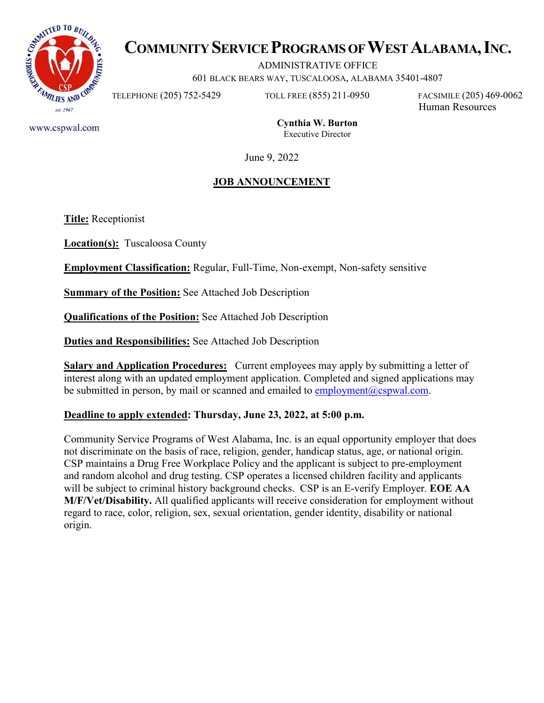

# **COMMUNITY SERVICE PROGRAMS OF WEST ALABAMA, INC.**

ADMINISTRATIVE OFFICE

601 BLACK BEARS WAY, TUSCALOOSA, ALABAMA 35401-4807

TELEPHONE (205) 752-5429 TOLL FREE (855) 211-0950 FACSIMILE (205) 469-0062

Human Resources

www.cspwal.com

**Cynthia W. Burton** Executive Director

June 9, 2022

## **JOB ANNOUNCEMENT**

**Title:** Receptionist

**Location(s):** Tuscaloosa County

**Employment Classification:** Regular, Full-Time, Non-exempt, Non-safety sensitive

**Summary of the Position:** See Attached Job Description

**Qualifications of the Position:** See Attached Job Description

**Duties and Responsibilities:** See Attached Job Description

**Salary and Application Procedures:** Current employees may apply by submitting a letter of interest along with an updated employment application. Completed and signed applications may be submitted in person, by mail or scanned and emailed to employment  $(a)$ cspwal.com.

## **Deadline to apply extended: Thursday, June 23, 2022, at 5:00 p.m.**

Community Service Programs of West Alabama, Inc. is an equal opportunity employer that does not discriminate on the basis of race, religion, gender, handicap status, age, or national origin. CSP maintains a Drug Free Workplace Policy and the applicant is subject to pre-employment and random alcohol and drug testing. CSP operates a licensed children facility and applicants will be subject to criminal history background checks. CSP is an E-verify Employer. **EOE AA M/F/Vet/Disability.** All qualified applicants will receive consideration for employment without regard to race, color, religion, sex, sexual orientation, gender identity, disability or national origin.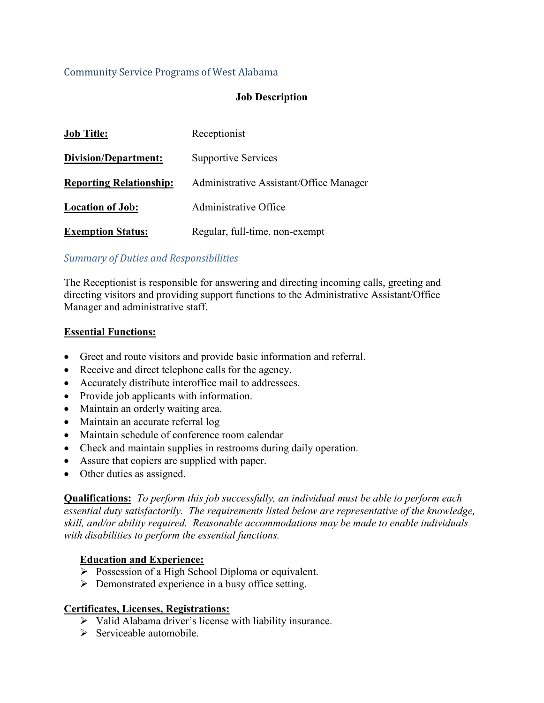## Community Service Programs of West Alabama

### **Job Description**

| <b>Job Title:</b>              | Receptionist                            |
|--------------------------------|-----------------------------------------|
| Division/Department:           | <b>Supportive Services</b>              |
| <b>Reporting Relationship:</b> | Administrative Assistant/Office Manager |
| <b>Location of Job:</b>        | Administrative Office                   |
| <b>Exemption Status:</b>       | Regular, full-time, non-exempt          |

#### *Summary of Duties and Responsibilities*

The Receptionist is responsible for answering and directing incoming calls, greeting and directing visitors and providing support functions to the Administrative Assistant/Office Manager and administrative staff.

#### **Essential Functions:**

- Greet and route visitors and provide basic information and referral.
- Receive and direct telephone calls for the agency.
- Accurately distribute interoffice mail to addressees.
- Provide job applicants with information.
- Maintain an orderly waiting area.
- Maintain an accurate referral log
- Maintain schedule of conference room calendar
- Check and maintain supplies in restrooms during daily operation.
- Assure that copiers are supplied with paper.
- Other duties as assigned.

**Qualifications:** *To perform this job successfully, an individual must be able to perform each essential duty satisfactorily. The requirements listed below are representative of the knowledge, skill, and/or ability required. Reasonable accommodations may be made to enable individuals with disabilities to perform the essential functions.* 

#### **Education and Experience:**

- $\triangleright$  Possession of a High School Diploma or equivalent.
- $\triangleright$  Demonstrated experience in a busy office setting.

#### **Certificates, Licenses, Registrations:**

- $\triangleright$  Valid Alabama driver's license with liability insurance.
- $\triangleright$  Serviceable automobile.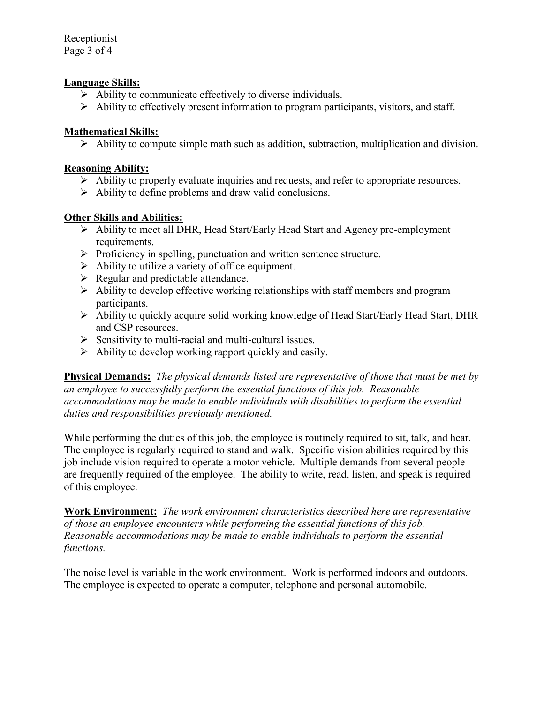Receptionist Page 3 of 4

#### **Language Skills:**

- $\triangleright$  Ability to communicate effectively to diverse individuals.
- $\triangleright$  Ability to effectively present information to program participants, visitors, and staff.

#### **Mathematical Skills:**

 $\triangleright$  Ability to compute simple math such as addition, subtraction, multiplication and division.

#### **Reasoning Ability:**

- $\triangleright$  Ability to properly evaluate inquiries and requests, and refer to appropriate resources.
- $\triangleright$  Ability to define problems and draw valid conclusions.

#### **Other Skills and Abilities:**

- Ability to meet all DHR, Head Start/Early Head Start and Agency pre-employment requirements.
- $\triangleright$  Proficiency in spelling, punctuation and written sentence structure.
- $\triangleright$  Ability to utilize a variety of office equipment.
- $\triangleright$  Regular and predictable attendance.
- $\triangleright$  Ability to develop effective working relationships with staff members and program participants.
- Ability to quickly acquire solid working knowledge of Head Start/Early Head Start, DHR and CSP resources.
- $\triangleright$  Sensitivity to multi-racial and multi-cultural issues.
- $\triangleright$  Ability to develop working rapport quickly and easily.

**Physical Demands:** *The physical demands listed are representative of those that must be met by an employee to successfully perform the essential functions of this job. Reasonable accommodations may be made to enable individuals with disabilities to perform the essential duties and responsibilities previously mentioned.*

While performing the duties of this job, the employee is routinely required to sit, talk, and hear. The employee is regularly required to stand and walk. Specific vision abilities required by this job include vision required to operate a motor vehicle. Multiple demands from several people are frequently required of the employee. The ability to write, read, listen, and speak is required of this employee.

**Work Environment:** *The work environment characteristics described here are representative of those an employee encounters while performing the essential functions of this job. Reasonable accommodations may be made to enable individuals to perform the essential functions.* 

The noise level is variable in the work environment. Work is performed indoors and outdoors. The employee is expected to operate a computer, telephone and personal automobile.